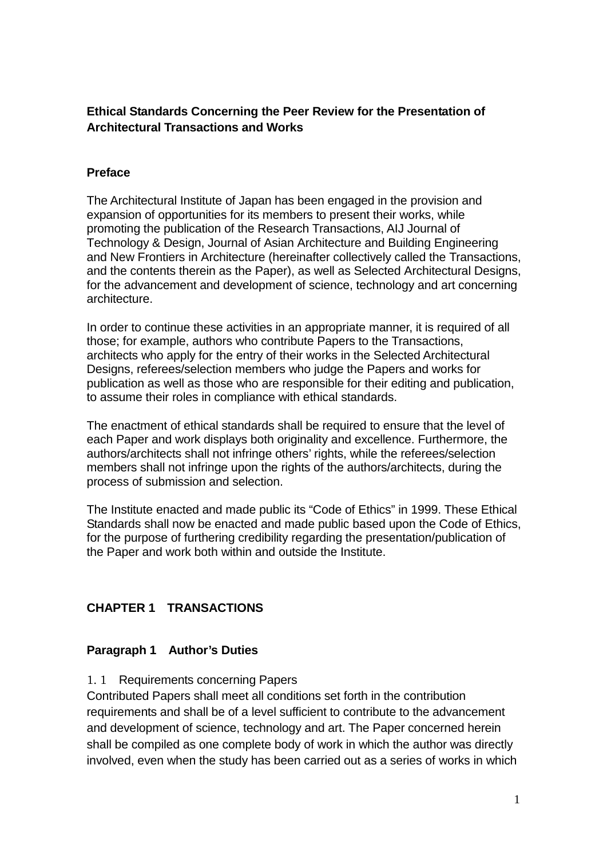## **Ethical Standards Concerning the Peer Review for the Presentation of Architectural Transactions and Works**

## **Preface**

The Architectural Institute of Japan has been engaged in the provision and expansion of opportunities for its members to present their works, while promoting the publication of the Research Transactions, AIJ Journal of Technology & Design, Journal of Asian Architecture and Building Engineering and New Frontiers in Architecture (hereinafter collectively called the Transactions, and the contents therein as the Paper), as well as Selected Architectural Designs, for the advancement and development of science, technology and art concerning architecture.

In order to continue these activities in an appropriate manner, it is required of all those; for example, authors who contribute Papers to the Transactions, architects who apply for the entry of their works in the Selected Architectural Designs, referees/selection members who judge the Papers and works for publication as well as those who are responsible for their editing and publication, to assume their roles in compliance with ethical standards.

The enactment of ethical standards shall be required to ensure that the level of each Paper and work displays both originality and excellence. Furthermore, the authors/architects shall not infringe others' rights, while the referees/selection members shall not infringe upon the rights of the authors/architects, during the process of submission and selection.

The Institute enacted and made public its "Code of Ethics" in 1999. These Ethical Standards shall now be enacted and made public based upon the Code of Ethics, for the purpose of furthering credibility regarding the presentation/publication of the Paper and work both within and outside the Institute.

## **CHAPTER 1 TRANSACTIONS**

## **Paragraph 1 Author's Duties**

1. 1 Requirements concerning Papers

Contributed Papers shall meet all conditions set forth in the contribution requirements and shall be of a level sufficient to contribute to the advancement and development of science, technology and art. The Paper concerned herein shall be compiled as one complete body of work in which the author was directly involved, even when the study has been carried out as a series of works in which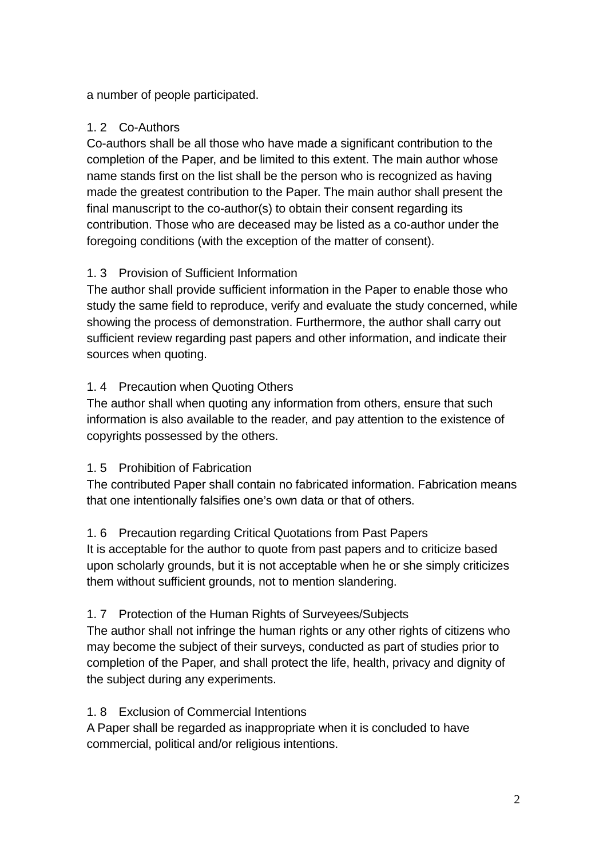a number of people participated.

# 1. 2 Co-Authors

Co-authors shall be all those who have made a significant contribution to the completion of the Paper, and be limited to this extent. The main author whose name stands first on the list shall be the person who is recognized as having made the greatest contribution to the Paper. The main author shall present the final manuscript to the co-author(s) to obtain their consent regarding its contribution. Those who are deceased may be listed as a co-author under the foregoing conditions (with the exception of the matter of consent).

# 1. 3 Provision of Sufficient Information

The author shall provide sufficient information in the Paper to enable those who study the same field to reproduce, verify and evaluate the study concerned, while showing the process of demonstration. Furthermore, the author shall carry out sufficient review regarding past papers and other information, and indicate their sources when quoting.

# 1. 4 Precaution when Quoting Others

The author shall when quoting any information from others, ensure that such information is also available to the reader, and pay attention to the existence of copyrights possessed by the others.

## 1. 5 Prohibition of Fabrication

The contributed Paper shall contain no fabricated information. Fabrication means that one intentionally falsifies one's own data or that of others.

# 1. 6 Precaution regarding Critical Quotations from Past Papers

It is acceptable for the author to quote from past papers and to criticize based upon scholarly grounds, but it is not acceptable when he or she simply criticizes them without sufficient grounds, not to mention slandering.

## 1. 7 Protection of the Human Rights of Surveyees/Subjects

The author shall not infringe the human rights or any other rights of citizens who may become the subject of their surveys, conducted as part of studies prior to completion of the Paper, and shall protect the life, health, privacy and dignity of the subject during any experiments.

## 1. 8 Exclusion of Commercial Intentions

A Paper shall be regarded as inappropriate when it is concluded to have commercial, political and/or religious intentions.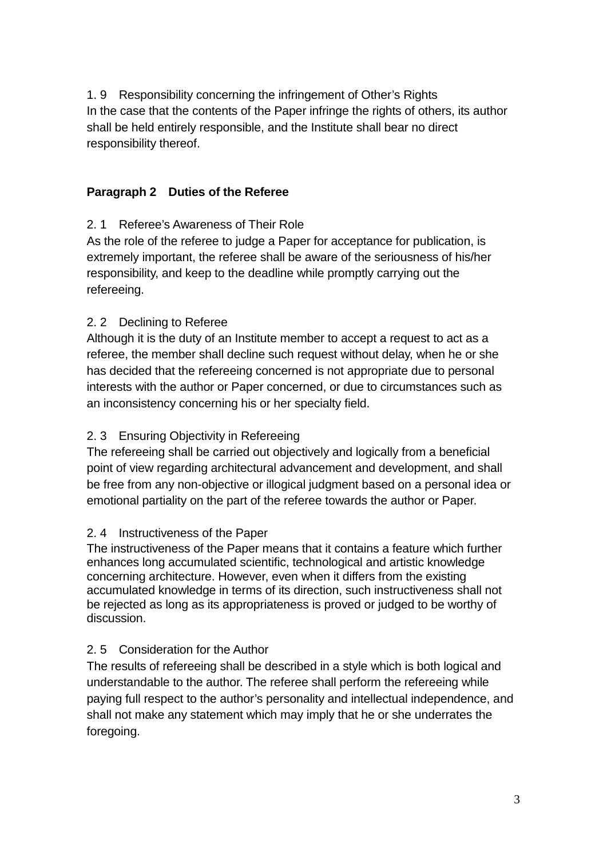1. 9 Responsibility concerning the infringement of Other's Rights In the case that the contents of the Paper infringe the rights of others, its author shall be held entirely responsible, and the Institute shall bear no direct responsibility thereof.

### **Paragraph 2 Duties of the Referee**

## 2. 1 Referee's Awareness of Their Role

As the role of the referee to judge a Paper for acceptance for publication, is extremely important, the referee shall be aware of the seriousness of his/her responsibility, and keep to the deadline while promptly carrying out the refereeing.

## 2. 2 Declining to Referee

Although it is the duty of an Institute member to accept a request to act as a referee, the member shall decline such request without delay, when he or she has decided that the refereeing concerned is not appropriate due to personal interests with the author or Paper concerned, or due to circumstances such as an inconsistency concerning his or her specialty field.

### 2. 3 Ensuring Objectivity in Refereeing

The refereeing shall be carried out objectively and logically from a beneficial point of view regarding architectural advancement and development, and shall be free from any non-objective or illogical judgment based on a personal idea or emotional partiality on the part of the referee towards the author or Paper.

#### 2. 4 Instructiveness of the Paper

The instructiveness of the Paper means that it contains a feature which further enhances long accumulated scientific, technological and artistic knowledge concerning architecture. However, even when it differs from the existing accumulated knowledge in terms of its direction, such instructiveness shall not be rejected as long as its appropriateness is proved or judged to be worthy of discussion.

#### 2. 5 Consideration for the Author

The results of refereeing shall be described in a style which is both logical and understandable to the author. The referee shall perform the refereeing while paying full respect to the author's personality and intellectual independence, and shall not make any statement which may imply that he or she underrates the foregoing.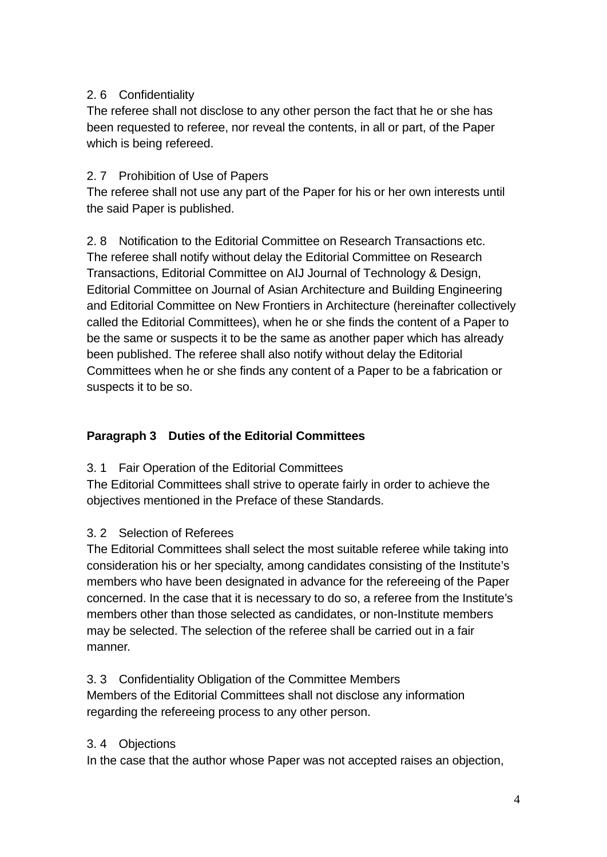## 2. 6 Confidentiality

The referee shall not disclose to any other person the fact that he or she has been requested to referee, nor reveal the contents, in all or part, of the Paper which is being refereed.

## 2. 7 Prohibition of Use of Papers

The referee shall not use any part of the Paper for his or her own interests until the said Paper is published.

2. 8 Notification to the Editorial Committee on Research Transactions etc. The referee shall notify without delay the Editorial Committee on Research Transactions, Editorial Committee on AIJ Journal of Technology & Design, Editorial Committee on Journal of Asian Architecture and Building Engineering and Editorial Committee on New Frontiers in Architecture (hereinafter collectively called the Editorial Committees), when he or she finds the content of a Paper to be the same or suspects it to be the same as another paper which has already been published. The referee shall also notify without delay the Editorial Committees when he or she finds any content of a Paper to be a fabrication or suspects it to be so.

## **Paragraph 3 Duties of the Editorial Committees**

3. 1 Fair Operation of the Editorial Committees

The Editorial Committees shall strive to operate fairly in order to achieve the objectives mentioned in the Preface of these Standards.

#### 3. 2 Selection of Referees

The Editorial Committees shall select the most suitable referee while taking into consideration his or her specialty, among candidates consisting of the Institute's members who have been designated in advance for the refereeing of the Paper concerned. In the case that it is necessary to do so, a referee from the Institute's members other than those selected as candidates, or non-Institute members may be selected. The selection of the referee shall be carried out in a fair manner.

3. 3 Confidentiality Obligation of the Committee Members Members of the Editorial Committees shall not disclose any information regarding the refereeing process to any other person.

#### 3. 4 Objections

In the case that the author whose Paper was not accepted raises an objection,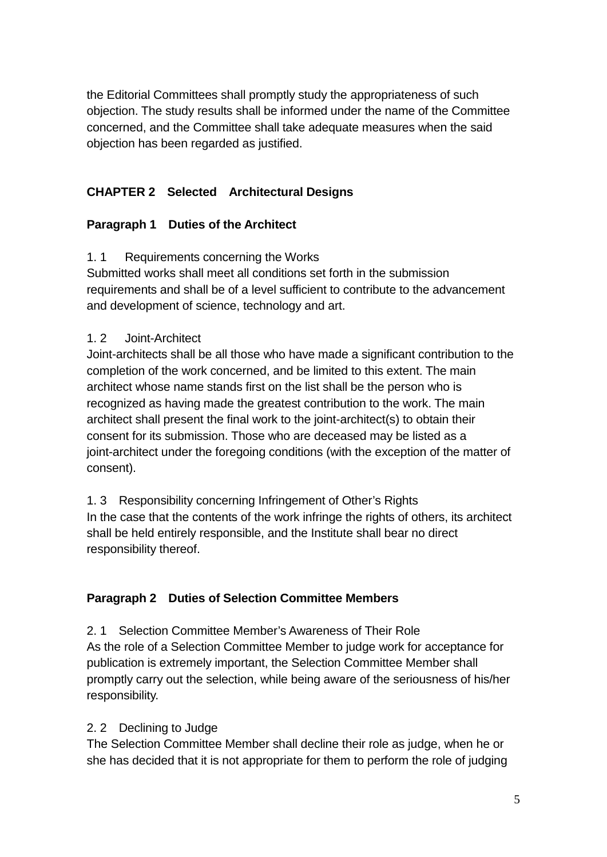the Editorial Committees shall promptly study the appropriateness of such objection. The study results shall be informed under the name of the Committee concerned, and the Committee shall take adequate measures when the said objection has been regarded as justified.

# **CHAPTER 2 Selected Architectural Designs**

## **Paragraph 1 Duties of the Architect**

1. 1 Requirements concerning the Works

Submitted works shall meet all conditions set forth in the submission requirements and shall be of a level sufficient to contribute to the advancement and development of science, technology and art.

#### 1. 2 Joint-Architect

Joint-architects shall be all those who have made a significant contribution to the completion of the work concerned, and be limited to this extent. The main architect whose name stands first on the list shall be the person who is recognized as having made the greatest contribution to the work. The main architect shall present the final work to the joint-architect(s) to obtain their consent for its submission. Those who are deceased may be listed as a joint-architect under the foregoing conditions (with the exception of the matter of consent).

1. 3 Responsibility concerning Infringement of Other's Rights In the case that the contents of the work infringe the rights of others, its architect shall be held entirely responsible, and the Institute shall bear no direct responsibility thereof.

#### **Paragraph 2 Duties of Selection Committee Members**

2. 1 Selection Committee Member's Awareness of Their Role As the role of a Selection Committee Member to judge work for acceptance for publication is extremely important, the Selection Committee Member shall promptly carry out the selection, while being aware of the seriousness of his/her responsibility.

#### 2. 2 Declining to Judge

The Selection Committee Member shall decline their role as judge, when he or she has decided that it is not appropriate for them to perform the role of judging